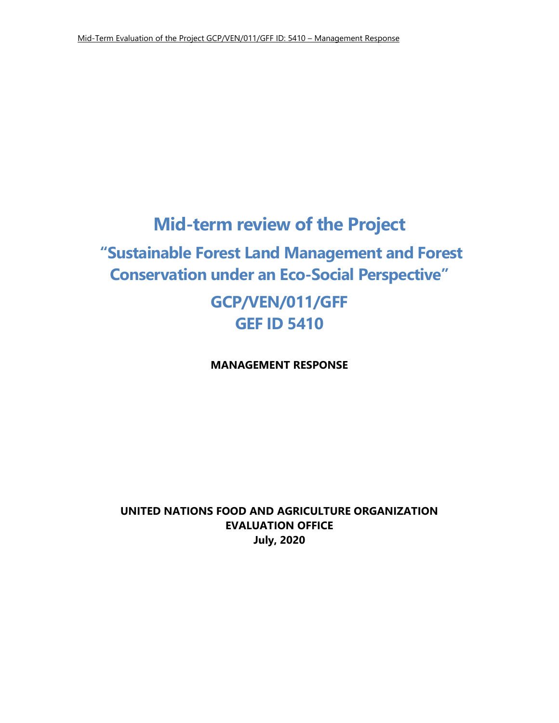# **Mid-term review of the Project**

## **"Sustainable Forest Land Management and Forest Conservation under an Eco-Social Perspective"**

## **GCP/VEN/011/GFF GEF ID 5410**

**MANAGEMENT RESPONSE** 

**UNITED NATIONS FOOD AND AGRICULTURE ORGANIZATION EVALUATION OFFICE July, 2020**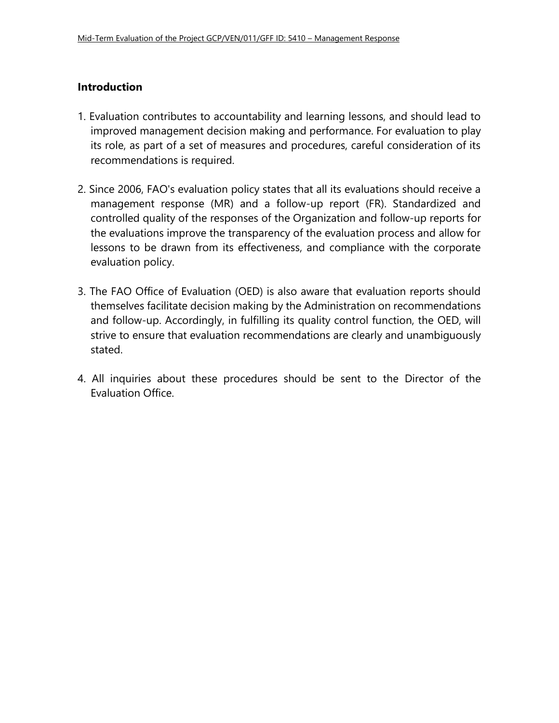#### **Introduction**

- 1. Evaluation contributes to accountability and learning lessons, and should lead to improved management decision making and performance. For evaluation to play its role, as part of a set of measures and procedures, careful consideration of its recommendations is required.
- 2. Since 2006, FAO's evaluation policy states that all its evaluations should receive a management response (MR) and a follow-up report (FR). Standardized and controlled quality of the responses of the Organization and follow-up reports for the evaluations improve the transparency of the evaluation process and allow for lessons to be drawn from its effectiveness, and compliance with the corporate evaluation policy.
- 3. The FAO Office of Evaluation (OED) is also aware that evaluation reports should themselves facilitate decision making by the Administration on recommendations and follow-up. Accordingly, in fulfilling its quality control function, the OED, will strive to ensure that evaluation recommendations are clearly and unambiguously stated.
- 4. All inquiries about these procedures should be sent to the Director of the Evaluation Office.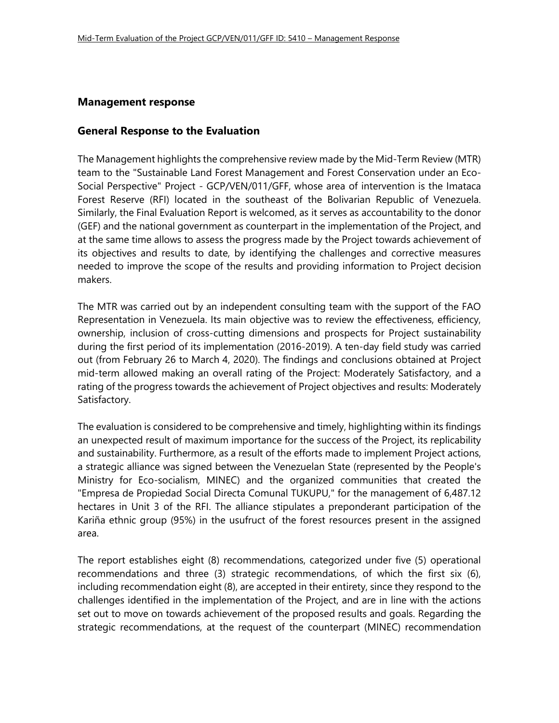#### **Management response**

#### **General Response to the Evaluation**

The Management highlights the comprehensive review made by the Mid-Term Review (MTR) team to the "Sustainable Land Forest Management and Forest Conservation under an Eco-Social Perspective" Project - GCP/VEN/011/GFF, whose area of intervention is the Imataca Forest Reserve (RFI) located in the southeast of the Bolivarian Republic of Venezuela. Similarly, the Final Evaluation Report is welcomed, as it serves as accountability to the donor (GEF) and the national government as counterpart in the implementation of the Project, and at the same time allows to assess the progress made by the Project towards achievement of its objectives and results to date, by identifying the challenges and corrective measures needed to improve the scope of the results and providing information to Project decision makers.

The MTR was carried out by an independent consulting team with the support of the FAO Representation in Venezuela. Its main objective was to review the effectiveness, efficiency, ownership, inclusion of cross-cutting dimensions and prospects for Project sustainability during the first period of its implementation (2016-2019). A ten-day field study was carried out (from February 26 to March 4, 2020). The findings and conclusions obtained at Project mid-term allowed making an overall rating of the Project: Moderately Satisfactory, and a rating of the progress towards the achievement of Project objectives and results: Moderately Satisfactory.

The evaluation is considered to be comprehensive and timely, highlighting within its findings an unexpected result of maximum importance for the success of the Project, its replicability and sustainability. Furthermore, as a result of the efforts made to implement Project actions, a strategic alliance was signed between the Venezuelan State (represented by the People's Ministry for Eco-socialism, MINEC) and the organized communities that created the "Empresa de Propiedad Social Directa Comunal TUKUPU," for the management of 6,487.12 hectares in Unit 3 of the RFI. The alliance stipulates a preponderant participation of the Kariña ethnic group (95%) in the usufruct of the forest resources present in the assigned area.

The report establishes eight (8) recommendations, categorized under five (5) operational recommendations and three (3) strategic recommendations, of which the first six (6), including recommendation eight (8), are accepted in their entirety, since they respond to the challenges identified in the implementation of the Project, and are in line with the actions set out to move on towards achievement of the proposed results and goals. Regarding the strategic recommendations, at the request of the counterpart (MINEC) recommendation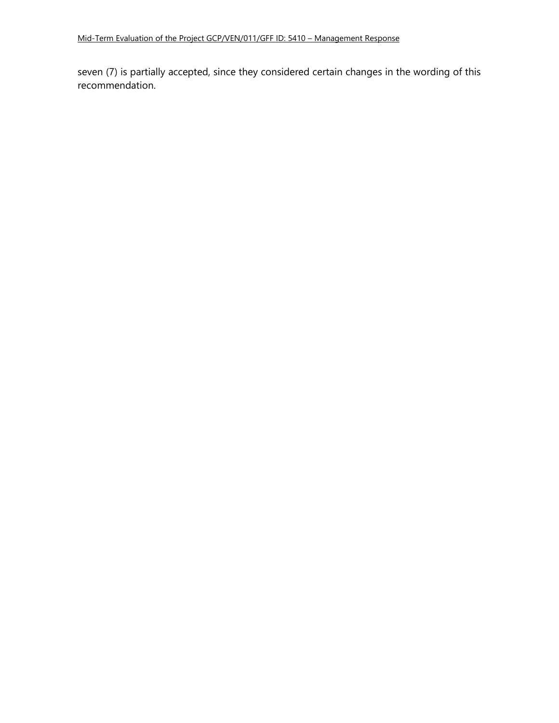seven (7) is partially accepted, since they considered certain changes in the wording of this recommendation.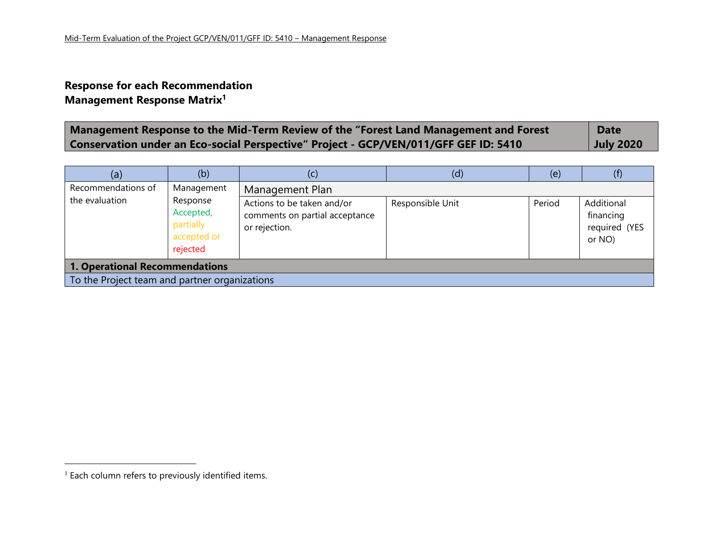### **Response for each Recommendation Management Response Matrix<sup>1</sup>**

| Management Response to the Mid-Term Review of the "Forest Land Management and Forest | <b>Date</b>      |
|--------------------------------------------------------------------------------------|------------------|
| Conservation under an Eco-social Perspective" Project - GCP/VEN/011/GFF GEF ID: 5410 | <b>July 2020</b> |

| (a)                                                                                    | (b)                                                                         | (c)                                                                                              | (d)              | (e)    | (f)                                                |
|----------------------------------------------------------------------------------------|-----------------------------------------------------------------------------|--------------------------------------------------------------------------------------------------|------------------|--------|----------------------------------------------------|
| Recommendations of<br>the evaluation                                                   | Management<br>Response<br>Accepted,<br>partially<br>accepted or<br>rejected | Management Plan<br>Actions to be taken and/or<br>comments on partial acceptance<br>or rejection. | Responsible Unit | Period | Additional<br>financing<br>required (YES<br>or NO) |
| <b>1. Operational Recommendations</b><br>To the Project team and partner organizations |                                                                             |                                                                                                  |                  |        |                                                    |

<sup>&</sup>lt;sup>1</sup> Each column refers to previously identified items.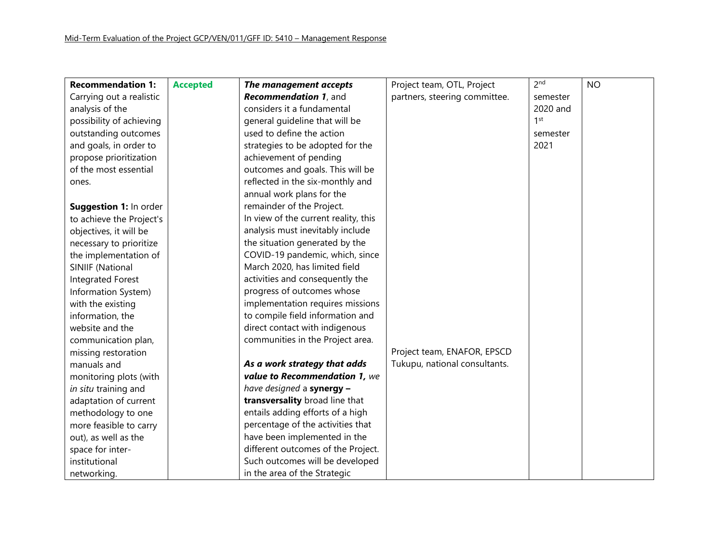| <b>Recommendation 1:</b> | <b>Accepted</b> | The management accepts               | Project team, OTL, Project    | 2 <sub>nd</sub> | <b>NO</b> |
|--------------------------|-----------------|--------------------------------------|-------------------------------|-----------------|-----------|
| Carrying out a realistic |                 | Recommendation 1, and                | partners, steering committee. | semester        |           |
| analysis of the          |                 | considers it a fundamental           |                               | 2020 and        |           |
| possibility of achieving |                 | general guideline that will be       |                               | 1 <sup>st</sup> |           |
| outstanding outcomes     |                 | used to define the action            |                               | semester        |           |
| and goals, in order to   |                 | strategies to be adopted for the     |                               | 2021            |           |
| propose prioritization   |                 | achievement of pending               |                               |                 |           |
| of the most essential    |                 | outcomes and goals. This will be     |                               |                 |           |
| ones.                    |                 | reflected in the six-monthly and     |                               |                 |           |
|                          |                 | annual work plans for the            |                               |                 |           |
| Suggestion 1: In order   |                 | remainder of the Project.            |                               |                 |           |
| to achieve the Project's |                 | In view of the current reality, this |                               |                 |           |
| objectives, it will be   |                 | analysis must inevitably include     |                               |                 |           |
| necessary to prioritize  |                 | the situation generated by the       |                               |                 |           |
| the implementation of    |                 | COVID-19 pandemic, which, since      |                               |                 |           |
| SINIIF (National         |                 | March 2020, has limited field        |                               |                 |           |
| Integrated Forest        |                 | activities and consequently the      |                               |                 |           |
| Information System)      |                 | progress of outcomes whose           |                               |                 |           |
| with the existing        |                 | implementation requires missions     |                               |                 |           |
| information, the         |                 | to compile field information and     |                               |                 |           |
| website and the          |                 | direct contact with indigenous       |                               |                 |           |
| communication plan,      |                 | communities in the Project area.     |                               |                 |           |
| missing restoration      |                 |                                      | Project team, ENAFOR, EPSCD   |                 |           |
| manuals and              |                 | As a work strategy that adds         | Tukupu, national consultants. |                 |           |
| monitoring plots (with   |                 | value to Recommendation 1, we        |                               |                 |           |
| in situ training and     |                 | have designed a synergy -            |                               |                 |           |
| adaptation of current    |                 | transversality broad line that       |                               |                 |           |
| methodology to one       |                 | entails adding efforts of a high     |                               |                 |           |
| more feasible to carry   |                 | percentage of the activities that    |                               |                 |           |
| out), as well as the     |                 | have been implemented in the         |                               |                 |           |
| space for inter-         |                 | different outcomes of the Project.   |                               |                 |           |
| institutional            |                 | Such outcomes will be developed      |                               |                 |           |
| networking.              |                 | in the area of the Strategic         |                               |                 |           |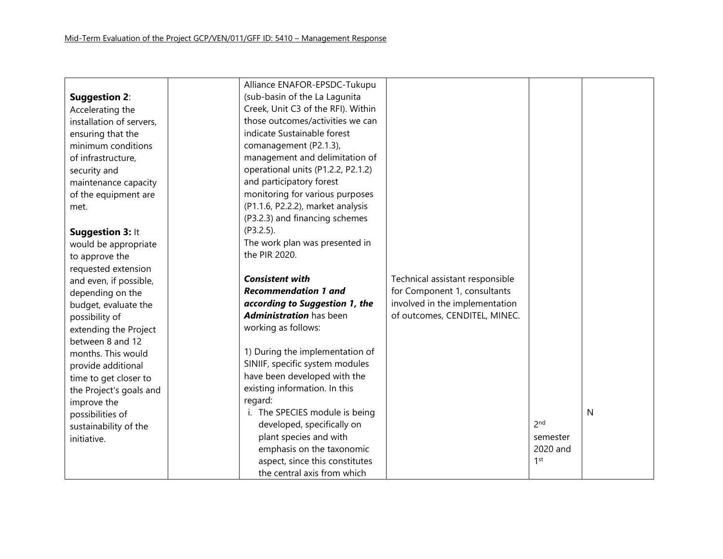|                          | Alliance ENAFOR-EPSDC-Tukupu       |                                 |                 |   |
|--------------------------|------------------------------------|---------------------------------|-----------------|---|
| <b>Suggestion 2:</b>     | (sub-basin of the La Lagunita      |                                 |                 |   |
| Accelerating the         | Creek, Unit C3 of the RFI). Within |                                 |                 |   |
| installation of servers, | those outcomes/activities we can   |                                 |                 |   |
| ensuring that the        | indicate Sustainable forest        |                                 |                 |   |
| minimum conditions       | comanagement (P2.1.3),             |                                 |                 |   |
| of infrastructure,       | management and delimitation of     |                                 |                 |   |
| security and             | operational units (P1.2.2, P2.1.2) |                                 |                 |   |
| maintenance capacity     | and participatory forest           |                                 |                 |   |
| of the equipment are     | monitoring for various purposes    |                                 |                 |   |
| met.                     | (P1.1.6, P2.2.2), market analysis  |                                 |                 |   |
|                          | (P3.2.3) and financing schemes     |                                 |                 |   |
| Suggestion 3: It         | (P3.2.5).                          |                                 |                 |   |
| would be appropriate     | The work plan was presented in     |                                 |                 |   |
| to approve the           | the PIR 2020.                      |                                 |                 |   |
| requested extension      |                                    |                                 |                 |   |
| and even, if possible,   | <b>Consistent with</b>             | Technical assistant responsible |                 |   |
| depending on the         | <b>Recommendation 1 and</b>        | for Component 1, consultants    |                 |   |
| budget, evaluate the     | according to Suggestion 1, the     | involved in the implementation  |                 |   |
| possibility of           | <b>Administration</b> has been     | of outcomes, CENDITEL, MINEC.   |                 |   |
| extending the Project    | working as follows:                |                                 |                 |   |
| between 8 and 12         |                                    |                                 |                 |   |
| months. This would       | 1) During the implementation of    |                                 |                 |   |
| provide additional       | SINIIF, specific system modules    |                                 |                 |   |
| time to get closer to    | have been developed with the       |                                 |                 |   |
| the Project's goals and  | existing information. In this      |                                 |                 |   |
| improve the              | regard:                            |                                 |                 |   |
| possibilities of         | i. The SPECIES module is being     |                                 |                 | N |
| sustainability of the    | developed, specifically on         |                                 | 2 <sub>nd</sub> |   |
| initiative.              | plant species and with             |                                 | semester        |   |
|                          | emphasis on the taxonomic          |                                 | 2020 and        |   |
|                          | aspect, since this constitutes     |                                 | 1 <sup>st</sup> |   |
|                          | the central axis from which        |                                 |                 |   |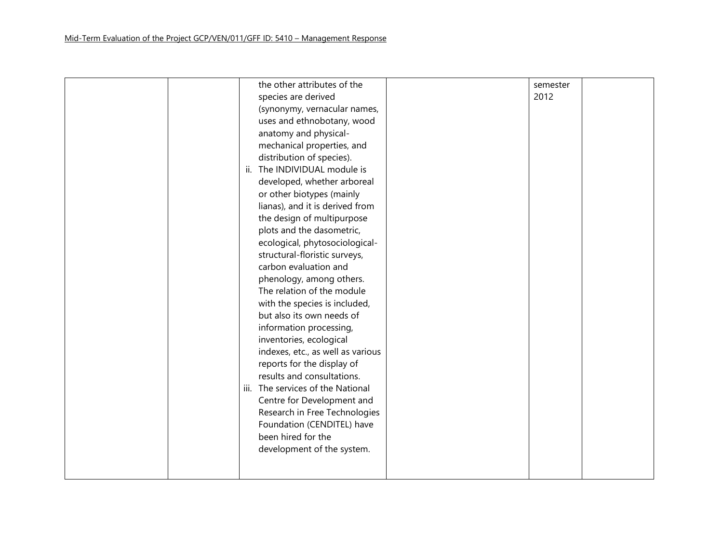|  |     | the other attributes of the       | semester |  |
|--|-----|-----------------------------------|----------|--|
|  |     | species are derived               | 2012     |  |
|  |     | (synonymy, vernacular names,      |          |  |
|  |     | uses and ethnobotany, wood        |          |  |
|  |     | anatomy and physical-             |          |  |
|  |     | mechanical properties, and        |          |  |
|  |     | distribution of species).         |          |  |
|  | ii. | The INDIVIDUAL module is          |          |  |
|  |     | developed, whether arboreal       |          |  |
|  |     | or other biotypes (mainly         |          |  |
|  |     | lianas), and it is derived from   |          |  |
|  |     | the design of multipurpose        |          |  |
|  |     | plots and the dasometric,         |          |  |
|  |     | ecological, phytosociological-    |          |  |
|  |     | structural-floristic surveys,     |          |  |
|  |     | carbon evaluation and             |          |  |
|  |     | phenology, among others.          |          |  |
|  |     | The relation of the module        |          |  |
|  |     | with the species is included,     |          |  |
|  |     | but also its own needs of         |          |  |
|  |     | information processing,           |          |  |
|  |     | inventories, ecological           |          |  |
|  |     | indexes, etc., as well as various |          |  |
|  |     | reports for the display of        |          |  |
|  |     | results and consultations.        |          |  |
|  |     | iii. The services of the National |          |  |
|  |     | Centre for Development and        |          |  |
|  |     | Research in Free Technologies     |          |  |
|  |     | Foundation (CENDITEL) have        |          |  |
|  |     | been hired for the                |          |  |
|  |     | development of the system.        |          |  |
|  |     |                                   |          |  |
|  |     |                                   |          |  |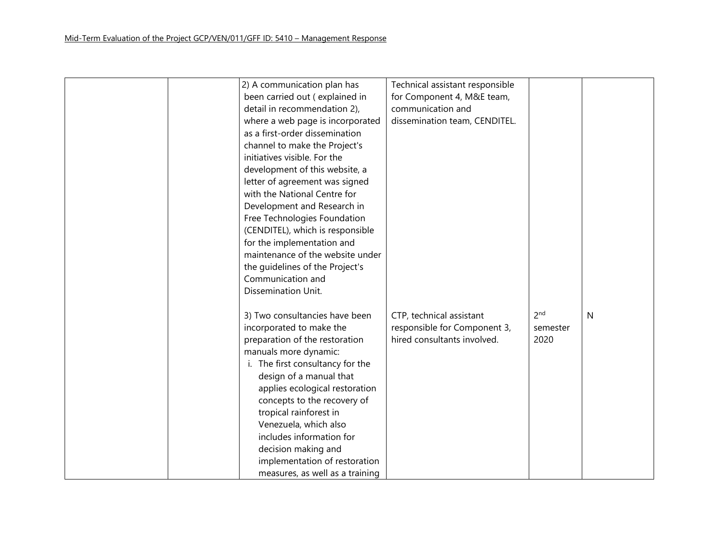| 2) A communication plan has      | Technical assistant responsible |                 |   |
|----------------------------------|---------------------------------|-----------------|---|
| been carried out (explained in   | for Component 4, M&E team,      |                 |   |
|                                  | communication and               |                 |   |
| detail in recommendation 2),     |                                 |                 |   |
| where a web page is incorporated | dissemination team, CENDITEL.   |                 |   |
| as a first-order dissemination   |                                 |                 |   |
| channel to make the Project's    |                                 |                 |   |
| initiatives visible. For the     |                                 |                 |   |
| development of this website, a   |                                 |                 |   |
| letter of agreement was signed   |                                 |                 |   |
| with the National Centre for     |                                 |                 |   |
| Development and Research in      |                                 |                 |   |
| Free Technologies Foundation     |                                 |                 |   |
| (CENDITEL), which is responsible |                                 |                 |   |
| for the implementation and       |                                 |                 |   |
| maintenance of the website under |                                 |                 |   |
| the guidelines of the Project's  |                                 |                 |   |
| Communication and                |                                 |                 |   |
| Dissemination Unit.              |                                 |                 |   |
|                                  |                                 |                 |   |
| 3) Two consultancies have been   | CTP, technical assistant        | 2 <sub>nd</sub> | N |
| incorporated to make the         | responsible for Component 3,    | semester        |   |
| preparation of the restoration   | hired consultants involved.     | 2020            |   |
| manuals more dynamic:            |                                 |                 |   |
| i. The first consultancy for the |                                 |                 |   |
| design of a manual that          |                                 |                 |   |
| applies ecological restoration   |                                 |                 |   |
| concepts to the recovery of      |                                 |                 |   |
| tropical rainforest in           |                                 |                 |   |
| Venezuela, which also            |                                 |                 |   |
| includes information for         |                                 |                 |   |
|                                  |                                 |                 |   |
| decision making and              |                                 |                 |   |
| implementation of restoration    |                                 |                 |   |
| measures, as well as a training  |                                 |                 |   |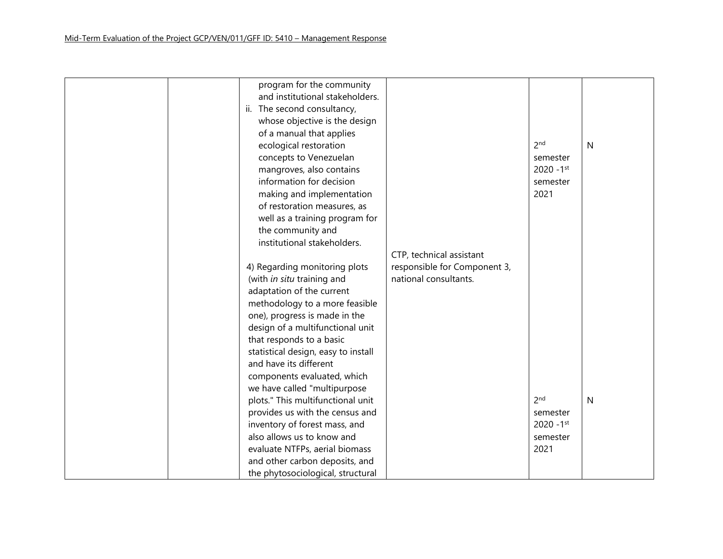| program for the community           |                              |                 |              |
|-------------------------------------|------------------------------|-----------------|--------------|
| and institutional stakeholders.     |                              |                 |              |
| ii. The second consultancy,         |                              |                 |              |
| whose objective is the design       |                              |                 |              |
| of a manual that applies            |                              |                 |              |
| ecological restoration              |                              | 2 <sub>nd</sub> | $\mathsf{N}$ |
| concepts to Venezuelan              |                              | semester        |              |
| mangroves, also contains            |                              | $2020 - 1$ st   |              |
| information for decision            |                              | semester        |              |
| making and implementation           |                              | 2021            |              |
| of restoration measures, as         |                              |                 |              |
| well as a training program for      |                              |                 |              |
| the community and                   |                              |                 |              |
| institutional stakeholders.         |                              |                 |              |
|                                     | CTP, technical assistant     |                 |              |
| 4) Regarding monitoring plots       | responsible for Component 3, |                 |              |
| (with in situ training and          | national consultants.        |                 |              |
| adaptation of the current           |                              |                 |              |
| methodology to a more feasible      |                              |                 |              |
| one), progress is made in the       |                              |                 |              |
| design of a multifunctional unit    |                              |                 |              |
| that responds to a basic            |                              |                 |              |
| statistical design, easy to install |                              |                 |              |
| and have its different              |                              |                 |              |
| components evaluated, which         |                              |                 |              |
| we have called "multipurpose        |                              |                 |              |
| plots." This multifunctional unit   |                              | 2 <sub>nd</sub> | $\mathsf{N}$ |
| provides us with the census and     |                              | semester        |              |
| inventory of forest mass, and       |                              | $2020 - 1$ st   |              |
| also allows us to know and          |                              | semester        |              |
| evaluate NTFPs, aerial biomass      |                              | 2021            |              |
| and other carbon deposits, and      |                              |                 |              |
| the phytosociological, structural   |                              |                 |              |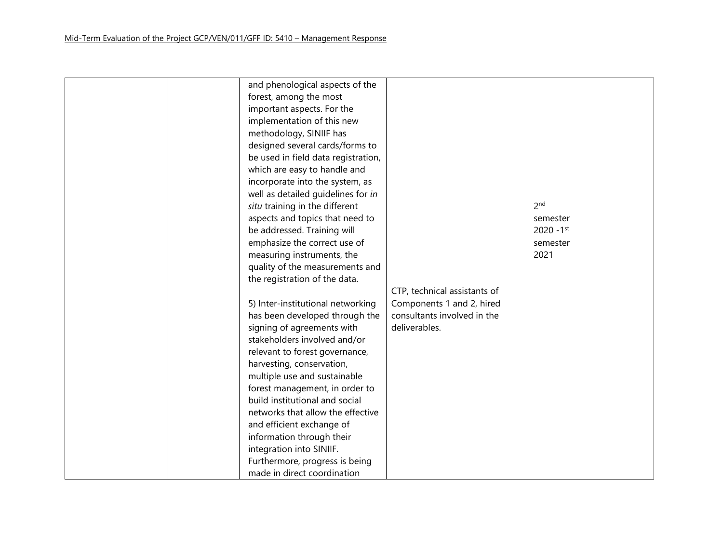| and phenological aspects of the     |                              |                          |  |
|-------------------------------------|------------------------------|--------------------------|--|
| forest, among the most              |                              |                          |  |
| important aspects. For the          |                              |                          |  |
| implementation of this new          |                              |                          |  |
| methodology, SINIIF has             |                              |                          |  |
| designed several cards/forms to     |                              |                          |  |
| be used in field data registration, |                              |                          |  |
| which are easy to handle and        |                              |                          |  |
| incorporate into the system, as     |                              |                          |  |
| well as detailed guidelines for in  |                              |                          |  |
| situ training in the different      |                              | 2 <sub>nd</sub>          |  |
| aspects and topics that need to     |                              | semester                 |  |
| be addressed. Training will         |                              | $2020 - 1$ <sup>st</sup> |  |
| emphasize the correct use of        |                              | semester                 |  |
| measuring instruments, the          |                              | 2021                     |  |
| quality of the measurements and     |                              |                          |  |
| the registration of the data.       |                              |                          |  |
|                                     | CTP, technical assistants of |                          |  |
| 5) Inter-institutional networking   | Components 1 and 2, hired    |                          |  |
| has been developed through the      | consultants involved in the  |                          |  |
| signing of agreements with          | deliverables.                |                          |  |
| stakeholders involved and/or        |                              |                          |  |
| relevant to forest governance,      |                              |                          |  |
| harvesting, conservation,           |                              |                          |  |
| multiple use and sustainable        |                              |                          |  |
| forest management, in order to      |                              |                          |  |
| build institutional and social      |                              |                          |  |
| networks that allow the effective   |                              |                          |  |
| and efficient exchange of           |                              |                          |  |
| information through their           |                              |                          |  |
| integration into SINIIF.            |                              |                          |  |
|                                     |                              |                          |  |
| Furthermore, progress is being      |                              |                          |  |
| made in direct coordination         |                              |                          |  |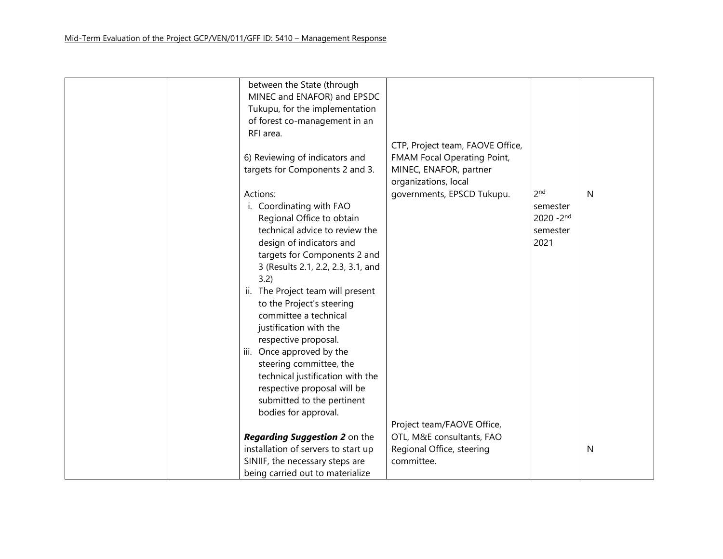| between the State (through          |                                  |                 |   |
|-------------------------------------|----------------------------------|-----------------|---|
| MINEC and ENAFOR) and EPSDC         |                                  |                 |   |
| Tukupu, for the implementation      |                                  |                 |   |
| of forest co-management in an       |                                  |                 |   |
| RFI area.                           |                                  |                 |   |
|                                     | CTP, Project team, FAOVE Office, |                 |   |
| 6) Reviewing of indicators and      | FMAM Focal Operating Point,      |                 |   |
| targets for Components 2 and 3.     | MINEC, ENAFOR, partner           |                 |   |
|                                     | organizations, local             |                 |   |
| Actions:                            | governments, EPSCD Tukupu.       | 2 <sub>nd</sub> | N |
| i. Coordinating with FAO            |                                  | semester        |   |
| Regional Office to obtain           |                                  | $2020 - 2^{nd}$ |   |
| technical advice to review the      |                                  | semester        |   |
| design of indicators and            |                                  | 2021            |   |
| targets for Components 2 and        |                                  |                 |   |
| 3 (Results 2.1, 2.2, 2.3, 3.1, and  |                                  |                 |   |
| 3.2)                                |                                  |                 |   |
| ii. The Project team will present   |                                  |                 |   |
| to the Project's steering           |                                  |                 |   |
| committee a technical               |                                  |                 |   |
| justification with the              |                                  |                 |   |
| respective proposal.                |                                  |                 |   |
| iii. Once approved by the           |                                  |                 |   |
| steering committee, the             |                                  |                 |   |
| technical justification with the    |                                  |                 |   |
| respective proposal will be         |                                  |                 |   |
| submitted to the pertinent          |                                  |                 |   |
| bodies for approval.                |                                  |                 |   |
|                                     | Project team/FAOVE Office,       |                 |   |
| Regarding Suggestion 2 on the       | OTL, M&E consultants, FAO        |                 |   |
| installation of servers to start up | Regional Office, steering        |                 | N |
| SINIIF, the necessary steps are     | committee.                       |                 |   |
| being carried out to materialize    |                                  |                 |   |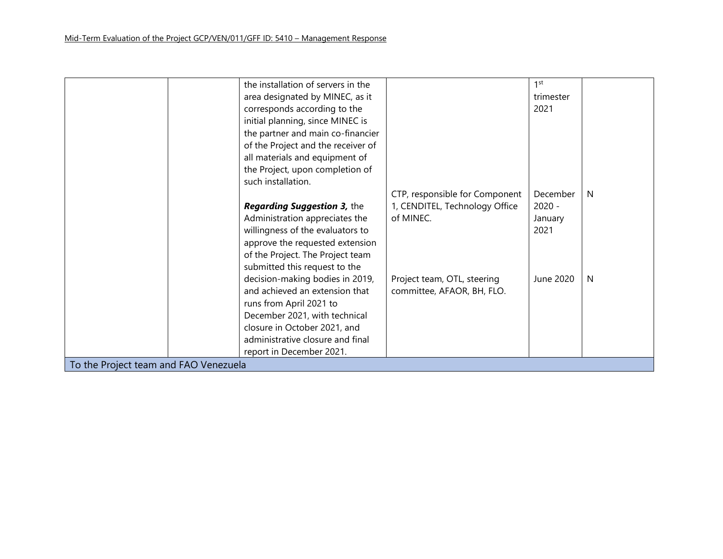|                                       | the installation of servers in the |                                | 1 <sup>st</sup> |    |
|---------------------------------------|------------------------------------|--------------------------------|-----------------|----|
|                                       | area designated by MINEC, as it    |                                | trimester       |    |
|                                       | corresponds according to the       |                                | 2021            |    |
|                                       | initial planning, since MINEC is   |                                |                 |    |
|                                       | the partner and main co-financier  |                                |                 |    |
|                                       | of the Project and the receiver of |                                |                 |    |
|                                       | all materials and equipment of     |                                |                 |    |
|                                       | the Project, upon completion of    |                                |                 |    |
|                                       | such installation.                 |                                |                 |    |
|                                       |                                    | CTP, responsible for Component | December        | N. |
|                                       | <b>Regarding Suggestion 3, the</b> | 1, CENDITEL, Technology Office | $2020 -$        |    |
|                                       | Administration appreciates the     | of MINEC.                      | January         |    |
|                                       | willingness of the evaluators to   |                                | 2021            |    |
|                                       | approve the requested extension    |                                |                 |    |
|                                       | of the Project. The Project team   |                                |                 |    |
|                                       | submitted this request to the      |                                |                 |    |
|                                       | decision-making bodies in 2019,    | Project team, OTL, steering    | June 2020       | N. |
|                                       | and achieved an extension that     | committee, AFAOR, BH, FLO.     |                 |    |
|                                       | runs from April 2021 to            |                                |                 |    |
|                                       | December 2021, with technical      |                                |                 |    |
|                                       | closure in October 2021, and       |                                |                 |    |
|                                       | administrative closure and final   |                                |                 |    |
|                                       | report in December 2021.           |                                |                 |    |
| To the Project team and FAO Venezuela |                                    |                                |                 |    |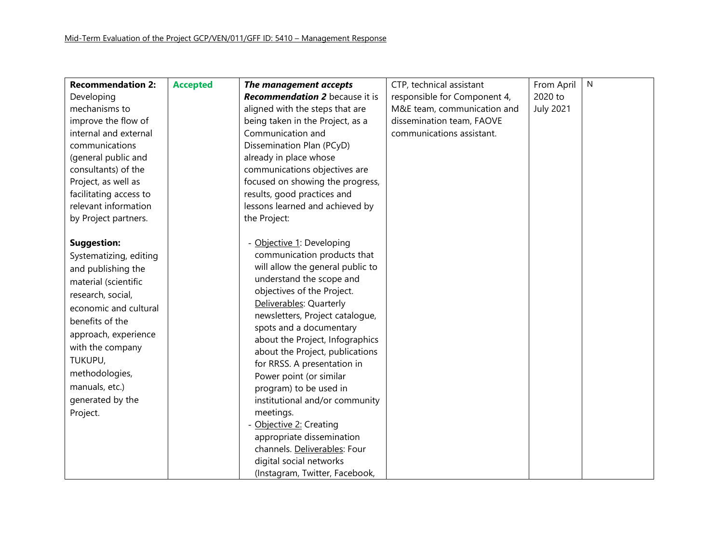| <b>Recommendation 2:</b> | <b>Accepted</b> | The management accepts                | CTP, technical assistant     | From April       | N |
|--------------------------|-----------------|---------------------------------------|------------------------------|------------------|---|
| Developing               |                 | <b>Recommendation 2</b> because it is | responsible for Component 4, | 2020 to          |   |
| mechanisms to            |                 | aligned with the steps that are       | M&E team, communication and  | <b>July 2021</b> |   |
| improve the flow of      |                 | being taken in the Project, as a      | dissemination team, FAOVE    |                  |   |
| internal and external    |                 | Communication and                     | communications assistant.    |                  |   |
| communications           |                 | Dissemination Plan (PCyD)             |                              |                  |   |
| (general public and      |                 | already in place whose                |                              |                  |   |
| consultants) of the      |                 | communications objectives are         |                              |                  |   |
| Project, as well as      |                 | focused on showing the progress,      |                              |                  |   |
| facilitating access to   |                 | results, good practices and           |                              |                  |   |
| relevant information     |                 | lessons learned and achieved by       |                              |                  |   |
| by Project partners.     |                 | the Project:                          |                              |                  |   |
|                          |                 |                                       |                              |                  |   |
| <b>Suggestion:</b>       |                 | - Objective 1: Developing             |                              |                  |   |
| Systematizing, editing   |                 | communication products that           |                              |                  |   |
| and publishing the       |                 | will allow the general public to      |                              |                  |   |
| material (scientific     |                 | understand the scope and              |                              |                  |   |
| research, social,        |                 | objectives of the Project.            |                              |                  |   |
| economic and cultural    |                 | Deliverables: Quarterly               |                              |                  |   |
| benefits of the          |                 | newsletters, Project catalogue,       |                              |                  |   |
| approach, experience     |                 | spots and a documentary               |                              |                  |   |
|                          |                 | about the Project, Infographics       |                              |                  |   |
| with the company         |                 | about the Project, publications       |                              |                  |   |
| TUKUPU,                  |                 | for RRSS. A presentation in           |                              |                  |   |
| methodologies,           |                 | Power point (or similar               |                              |                  |   |
| manuals, etc.)           |                 | program) to be used in                |                              |                  |   |
| generated by the         |                 | institutional and/or community        |                              |                  |   |
| Project.                 |                 | meetings.                             |                              |                  |   |
|                          |                 | - Objective 2: Creating               |                              |                  |   |
|                          |                 | appropriate dissemination             |                              |                  |   |
|                          |                 | channels. Deliverables: Four          |                              |                  |   |
|                          |                 | digital social networks               |                              |                  |   |
|                          |                 | (Instagram, Twitter, Facebook,        |                              |                  |   |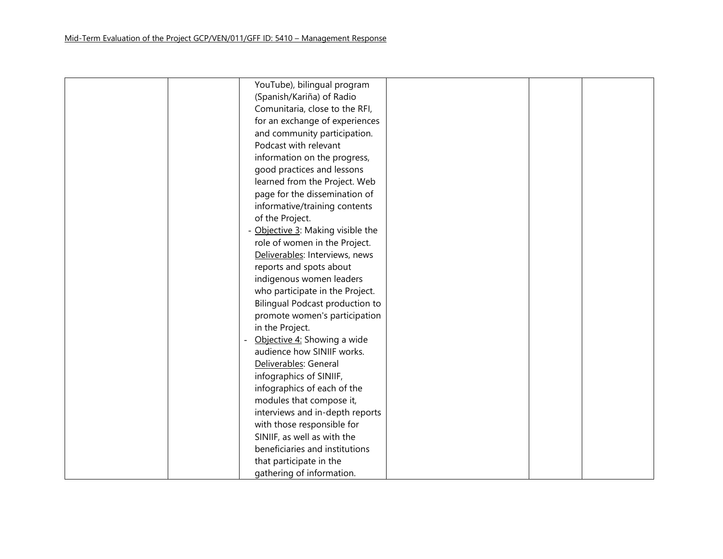| YouTube), bilingual program       |
|-----------------------------------|
| (Spanish/Kariña) of Radio         |
| Comunitaria, close to the RFI,    |
| for an exchange of experiences    |
| and community participation.      |
| Podcast with relevant             |
| information on the progress,      |
| good practices and lessons        |
| learned from the Project. Web     |
| page for the dissemination of     |
| informative/training contents     |
| of the Project.                   |
| - Objective 3: Making visible the |
| role of women in the Project.     |
| Deliverables: Interviews, news    |
| reports and spots about           |
| indigenous women leaders          |
| who participate in the Project.   |
| Bilingual Podcast production to   |
| promote women's participation     |
| in the Project.                   |
| Objective 4: Showing a wide       |
| audience how SINIIF works.        |
| Deliverables: General             |
| infographics of SINIIF,           |
| infographics of each of the       |
| modules that compose it,          |
| interviews and in-depth reports   |
| with those responsible for        |
| SINIIF, as well as with the       |
| beneficiaries and institutions    |
| that participate in the           |
| gathering of information.         |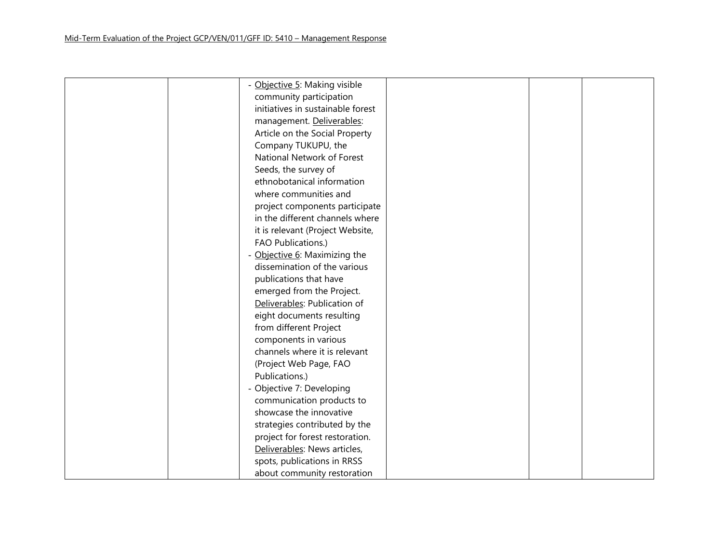| - Objective 5: Making visible     |  |
|-----------------------------------|--|
| community participation           |  |
| initiatives in sustainable forest |  |
| management. Deliverables:         |  |
| Article on the Social Property    |  |
| Company TUKUPU, the               |  |
| National Network of Forest        |  |
| Seeds, the survey of              |  |
| ethnobotanical information        |  |
| where communities and             |  |
| project components participate    |  |
| in the different channels where   |  |
| it is relevant (Project Website,  |  |
| FAO Publications.)                |  |
| - Objective 6: Maximizing the     |  |
| dissemination of the various      |  |
| publications that have            |  |
| emerged from the Project.         |  |
| Deliverables: Publication of      |  |
| eight documents resulting         |  |
| from different Project            |  |
| components in various             |  |
| channels where it is relevant     |  |
| (Project Web Page, FAO            |  |
| Publications.)                    |  |
| - Objective 7: Developing         |  |
| communication products to         |  |
| showcase the innovative           |  |
| strategies contributed by the     |  |
| project for forest restoration.   |  |
| Deliverables: News articles,      |  |
| spots, publications in RRSS       |  |
| about community restoration       |  |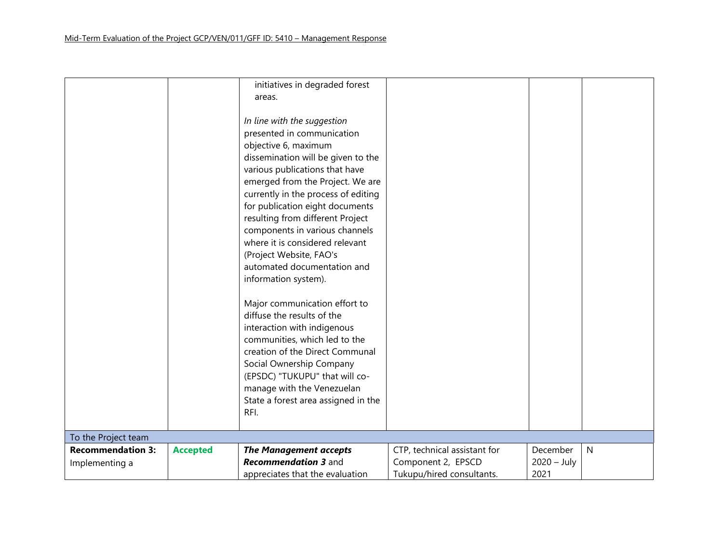|                          |                 | initiatives in degraded forest      |                              |               |              |
|--------------------------|-----------------|-------------------------------------|------------------------------|---------------|--------------|
|                          |                 | areas.                              |                              |               |              |
|                          |                 |                                     |                              |               |              |
|                          |                 | In line with the suggestion         |                              |               |              |
|                          |                 | presented in communication          |                              |               |              |
|                          |                 | objective 6, maximum                |                              |               |              |
|                          |                 | dissemination will be given to the  |                              |               |              |
|                          |                 | various publications that have      |                              |               |              |
|                          |                 | emerged from the Project. We are    |                              |               |              |
|                          |                 | currently in the process of editing |                              |               |              |
|                          |                 | for publication eight documents     |                              |               |              |
|                          |                 | resulting from different Project    |                              |               |              |
|                          |                 | components in various channels      |                              |               |              |
|                          |                 | where it is considered relevant     |                              |               |              |
|                          |                 | (Project Website, FAO's             |                              |               |              |
|                          |                 | automated documentation and         |                              |               |              |
|                          |                 | information system).                |                              |               |              |
|                          |                 |                                     |                              |               |              |
|                          |                 | Major communication effort to       |                              |               |              |
|                          |                 | diffuse the results of the          |                              |               |              |
|                          |                 | interaction with indigenous         |                              |               |              |
|                          |                 | communities, which led to the       |                              |               |              |
|                          |                 | creation of the Direct Communal     |                              |               |              |
|                          |                 |                                     |                              |               |              |
|                          |                 | Social Ownership Company            |                              |               |              |
|                          |                 | (EPSDC) "TUKUPU" that will co-      |                              |               |              |
|                          |                 | manage with the Venezuelan          |                              |               |              |
|                          |                 | State a forest area assigned in the |                              |               |              |
|                          |                 | RFI.                                |                              |               |              |
|                          |                 |                                     |                              |               |              |
| To the Project team      |                 |                                     |                              |               |              |
| <b>Recommendation 3:</b> | <b>Accepted</b> | <b>The Management accepts</b>       | CTP, technical assistant for | December      | $\mathsf{N}$ |
| Implementing a           |                 | <b>Recommendation 3 and</b>         | Component 2, EPSCD           | $2020 - July$ |              |
|                          |                 | appreciates that the evaluation     | Tukupu/hired consultants.    | 2021          |              |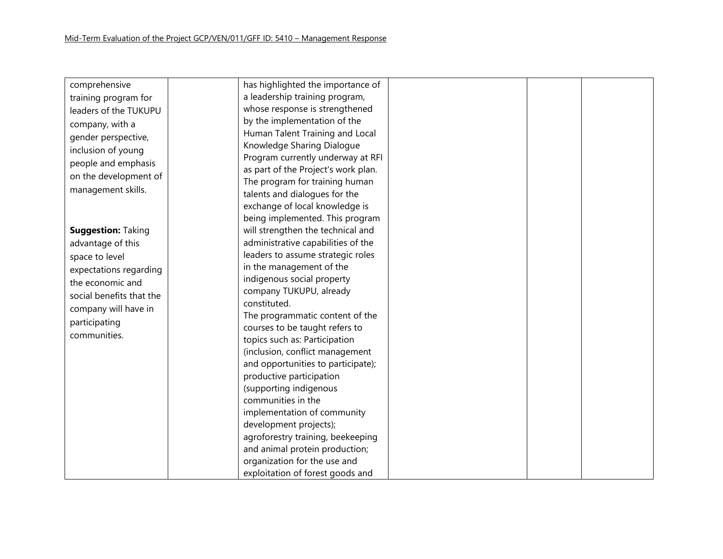| comprehensive             | has highlighted the importance of   |
|---------------------------|-------------------------------------|
| training program for      | a leadership training program,      |
| leaders of the TUKUPU     | whose response is strengthened      |
| company, with a           | by the implementation of the        |
| gender perspective,       | Human Talent Training and Local     |
| inclusion of young        | Knowledge Sharing Dialogue          |
| people and emphasis       | Program currently underway at RFI   |
|                           | as part of the Project's work plan. |
| on the development of     | The program for training human      |
| management skills.        | talents and dialogues for the       |
|                           | exchange of local knowledge is      |
|                           | being implemented. This program     |
| <b>Suggestion: Taking</b> | will strengthen the technical and   |
| advantage of this         | administrative capabilities of the  |
| space to level            | leaders to assume strategic roles   |
| expectations regarding    | in the management of the            |
| the economic and          | indigenous social property          |
| social benefits that the  | company TUKUPU, already             |
|                           | constituted.                        |
| company will have in      | The programmatic content of the     |
| participating             | courses to be taught refers to      |
| communities.              | topics such as: Participation       |
|                           | (inclusion, conflict management     |
|                           | and opportunities to participate);  |
|                           | productive participation            |
|                           | (supporting indigenous              |
|                           | communities in the                  |
|                           | implementation of community         |
|                           | development projects);              |
|                           | agroforestry training, beekeeping   |
|                           | and animal protein production;      |
|                           | organization for the use and        |
|                           | exploitation of forest goods and    |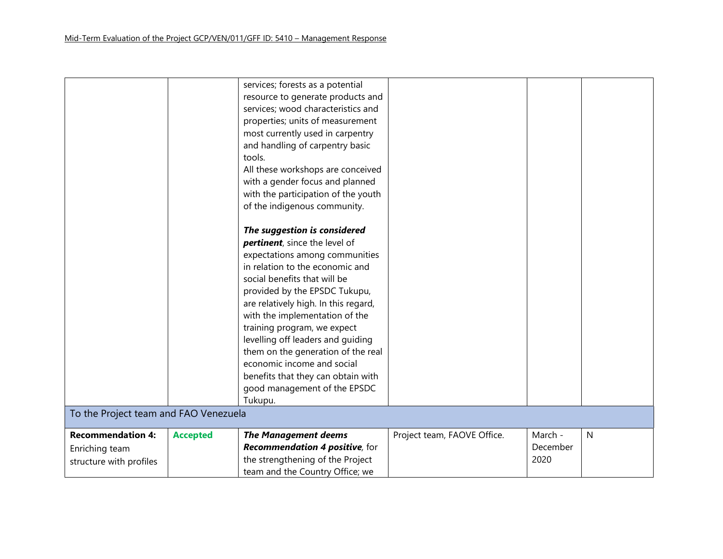|                                       |                 | services; forests as a potential     |                             |          |              |
|---------------------------------------|-----------------|--------------------------------------|-----------------------------|----------|--------------|
|                                       |                 | resource to generate products and    |                             |          |              |
|                                       |                 | services; wood characteristics and   |                             |          |              |
|                                       |                 | properties; units of measurement     |                             |          |              |
|                                       |                 | most currently used in carpentry     |                             |          |              |
|                                       |                 | and handling of carpentry basic      |                             |          |              |
|                                       |                 | tools.                               |                             |          |              |
|                                       |                 | All these workshops are conceived    |                             |          |              |
|                                       |                 | with a gender focus and planned      |                             |          |              |
|                                       |                 | with the participation of the youth  |                             |          |              |
|                                       |                 | of the indigenous community.         |                             |          |              |
|                                       |                 |                                      |                             |          |              |
|                                       |                 | The suggestion is considered         |                             |          |              |
|                                       |                 | pertinent, since the level of        |                             |          |              |
|                                       |                 | expectations among communities       |                             |          |              |
|                                       |                 | in relation to the economic and      |                             |          |              |
|                                       |                 | social benefits that will be         |                             |          |              |
|                                       |                 | provided by the EPSDC Tukupu,        |                             |          |              |
|                                       |                 | are relatively high. In this regard, |                             |          |              |
|                                       |                 | with the implementation of the       |                             |          |              |
|                                       |                 | training program, we expect          |                             |          |              |
|                                       |                 | levelling off leaders and guiding    |                             |          |              |
|                                       |                 | them on the generation of the real   |                             |          |              |
|                                       |                 | economic income and social           |                             |          |              |
|                                       |                 | benefits that they can obtain with   |                             |          |              |
|                                       |                 | good management of the EPSDC         |                             |          |              |
|                                       |                 | Tukupu.                              |                             |          |              |
| To the Project team and FAO Venezuela |                 |                                      |                             |          |              |
| <b>Recommendation 4:</b>              | <b>Accepted</b> | <b>The Management deems</b>          | Project team, FAOVE Office. | March -  | $\mathsf{N}$ |
| Enriching team                        |                 | Recommendation 4 positive, for       |                             | December |              |
| structure with profiles               |                 | the strengthening of the Project     |                             | 2020     |              |
|                                       |                 | team and the Country Office; we      |                             |          |              |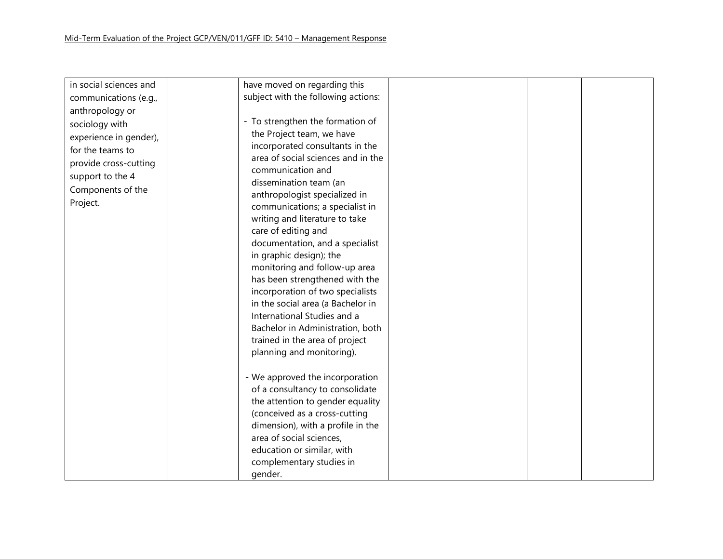| in social sciences and | have moved on regarding this        |  |
|------------------------|-------------------------------------|--|
| communications (e.g.,  | subject with the following actions: |  |
| anthropology or        |                                     |  |
| sociology with         | - To strengthen the formation of    |  |
| experience in gender), | the Project team, we have           |  |
| for the teams to       | incorporated consultants in the     |  |
|                        | area of social sciences and in the  |  |
| provide cross-cutting  | communication and                   |  |
| support to the 4       | dissemination team (an              |  |
| Components of the      | anthropologist specialized in       |  |
| Project.               | communications; a specialist in     |  |
|                        | writing and literature to take      |  |
|                        | care of editing and                 |  |
|                        | documentation, and a specialist     |  |
|                        | in graphic design); the             |  |
|                        | monitoring and follow-up area       |  |
|                        | has been strengthened with the      |  |
|                        | incorporation of two specialists    |  |
|                        | in the social area (a Bachelor in   |  |
|                        | International Studies and a         |  |
|                        | Bachelor in Administration, both    |  |
|                        | trained in the area of project      |  |
|                        | planning and monitoring).           |  |
|                        |                                     |  |
|                        | - We approved the incorporation     |  |
|                        | of a consultancy to consolidate     |  |
|                        | the attention to gender equality    |  |
|                        | (conceived as a cross-cutting       |  |
|                        | dimension), with a profile in the   |  |
|                        | area of social sciences,            |  |
|                        | education or similar, with          |  |
|                        | complementary studies in            |  |
|                        | gender.                             |  |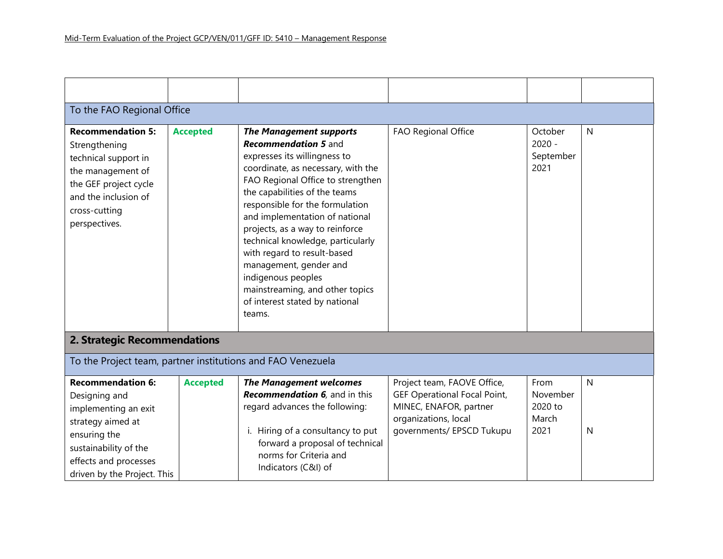| To the FAO Regional Office                                                                                                                                                              |                 |                                                                                                                                                                                                                                                                                                                                                                                                                                                                                                                      |                                                                                                                                                   |                                              |              |  |  |
|-----------------------------------------------------------------------------------------------------------------------------------------------------------------------------------------|-----------------|----------------------------------------------------------------------------------------------------------------------------------------------------------------------------------------------------------------------------------------------------------------------------------------------------------------------------------------------------------------------------------------------------------------------------------------------------------------------------------------------------------------------|---------------------------------------------------------------------------------------------------------------------------------------------------|----------------------------------------------|--------------|--|--|
| <b>Recommendation 5:</b><br>Strengthening<br>technical support in<br>the management of<br>the GEF project cycle<br>and the inclusion of<br>cross-cutting<br>perspectives.               | <b>Accepted</b> | <b>The Management supports</b><br><b>Recommendation 5 and</b><br>expresses its willingness to<br>coordinate, as necessary, with the<br>FAO Regional Office to strengthen<br>the capabilities of the teams<br>responsible for the formulation<br>and implementation of national<br>projects, as a way to reinforce<br>technical knowledge, particularly<br>with regard to result-based<br>management, gender and<br>indigenous peoples<br>mainstreaming, and other topics<br>of interest stated by national<br>teams. | FAO Regional Office                                                                                                                               | October<br>$2020 -$<br>September<br>2021     | $\mathsf{N}$ |  |  |
| 2. Strategic Recommendations                                                                                                                                                            |                 |                                                                                                                                                                                                                                                                                                                                                                                                                                                                                                                      |                                                                                                                                                   |                                              |              |  |  |
| To the Project team, partner institutions and FAO Venezuela                                                                                                                             |                 |                                                                                                                                                                                                                                                                                                                                                                                                                                                                                                                      |                                                                                                                                                   |                                              |              |  |  |
| <b>Recommendation 6:</b><br>Designing and<br>implementing an exit<br>strategy aimed at<br>ensuring the<br>sustainability of the<br>effects and processes<br>driven by the Project. This | <b>Accepted</b> | <b>The Management welcomes</b><br><b>Recommendation 6</b> , and in this<br>regard advances the following:<br>i. Hiring of a consultancy to put<br>forward a proposal of technical<br>norms for Criteria and<br>Indicators (C&I) of                                                                                                                                                                                                                                                                                   | Project team, FAOVE Office,<br><b>GEF Operational Focal Point,</b><br>MINEC, ENAFOR, partner<br>organizations, local<br>governments/ EPSCD Tukupu | From<br>November<br>2020 to<br>March<br>2021 | N<br>N       |  |  |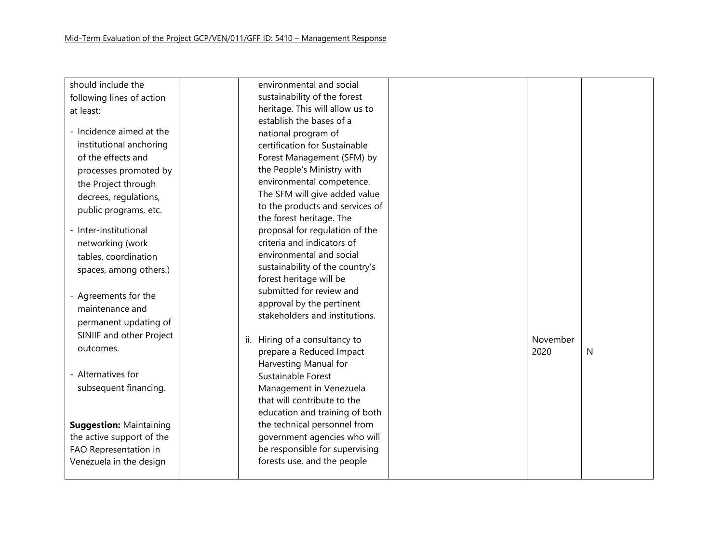| should include the             | environmental and social                                    |          |   |
|--------------------------------|-------------------------------------------------------------|----------|---|
| following lines of action      | sustainability of the forest                                |          |   |
| at least:                      | heritage. This will allow us to                             |          |   |
|                                | establish the bases of a                                    |          |   |
| - Incidence aimed at the       | national program of                                         |          |   |
| institutional anchoring        | certification for Sustainable                               |          |   |
| of the effects and             | Forest Management (SFM) by                                  |          |   |
| processes promoted by          | the People's Ministry with                                  |          |   |
| the Project through            | environmental competence.                                   |          |   |
| decrees, regulations,          | The SFM will give added value                               |          |   |
| public programs, etc.          | to the products and services of                             |          |   |
|                                | the forest heritage. The                                    |          |   |
| - Inter-institutional          | proposal for regulation of the                              |          |   |
| networking (work               | criteria and indicators of                                  |          |   |
| tables, coordination           | environmental and social                                    |          |   |
| spaces, among others.)         | sustainability of the country's                             |          |   |
|                                | forest heritage will be<br>submitted for review and         |          |   |
| - Agreements for the           |                                                             |          |   |
| maintenance and                | approval by the pertinent<br>stakeholders and institutions. |          |   |
| permanent updating of          |                                                             |          |   |
| SINIIF and other Project       | Hiring of a consultancy to<br>ii.                           | November |   |
| outcomes.                      | prepare a Reduced Impact                                    | 2020     | N |
|                                | Harvesting Manual for                                       |          |   |
| - Alternatives for             | Sustainable Forest                                          |          |   |
| subsequent financing.          | Management in Venezuela                                     |          |   |
|                                | that will contribute to the                                 |          |   |
|                                | education and training of both                              |          |   |
| <b>Suggestion: Maintaining</b> | the technical personnel from                                |          |   |
| the active support of the      | government agencies who will                                |          |   |
| FAO Representation in          | be responsible for supervising                              |          |   |
| Venezuela in the design        | forests use, and the people                                 |          |   |
|                                |                                                             |          |   |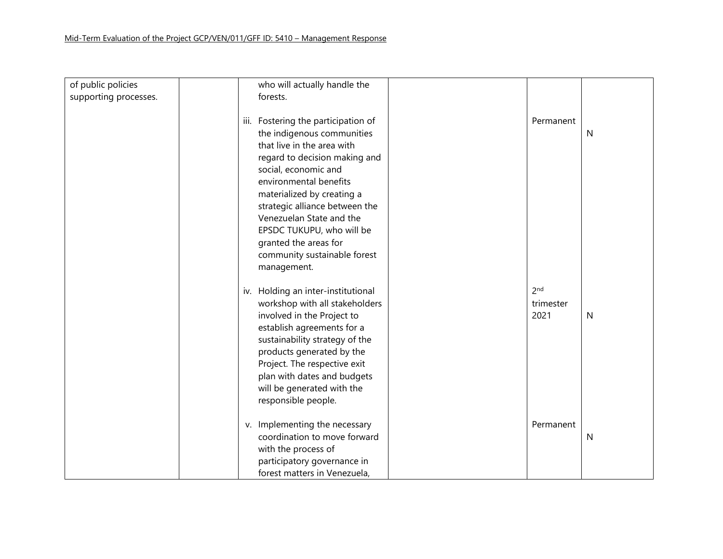#### Mid-Term Evaluation of the Project GCP/VEN/011/GFF ID: 5410 – Management Response

| of public policies    | who will actually handle the        |                 |   |
|-----------------------|-------------------------------------|-----------------|---|
| supporting processes. | forests.                            |                 |   |
|                       |                                     |                 |   |
|                       | iii. Fostering the participation of | Permanent       |   |
|                       |                                     |                 |   |
|                       | the indigenous communities          |                 | N |
|                       | that live in the area with          |                 |   |
|                       | regard to decision making and       |                 |   |
|                       | social, economic and                |                 |   |
|                       | environmental benefits              |                 |   |
|                       | materialized by creating a          |                 |   |
|                       | strategic alliance between the      |                 |   |
|                       | Venezuelan State and the            |                 |   |
|                       |                                     |                 |   |
|                       | EPSDC TUKUPU, who will be           |                 |   |
|                       | granted the areas for               |                 |   |
|                       | community sustainable forest        |                 |   |
|                       | management.                         |                 |   |
|                       |                                     |                 |   |
|                       | iv. Holding an inter-institutional  | 2 <sub>nd</sub> |   |
|                       | workshop with all stakeholders      | trimester       |   |
|                       | involved in the Project to          | 2021            | N |
|                       |                                     |                 |   |
|                       | establish agreements for a          |                 |   |
|                       | sustainability strategy of the      |                 |   |
|                       | products generated by the           |                 |   |
|                       | Project. The respective exit        |                 |   |
|                       | plan with dates and budgets         |                 |   |
|                       | will be generated with the          |                 |   |
|                       | responsible people.                 |                 |   |
|                       |                                     |                 |   |
|                       |                                     |                 |   |
|                       | v. Implementing the necessary       | Permanent       |   |
|                       | coordination to move forward        |                 | N |
|                       | with the process of                 |                 |   |
|                       | participatory governance in         |                 |   |
|                       | forest matters in Venezuela,        |                 |   |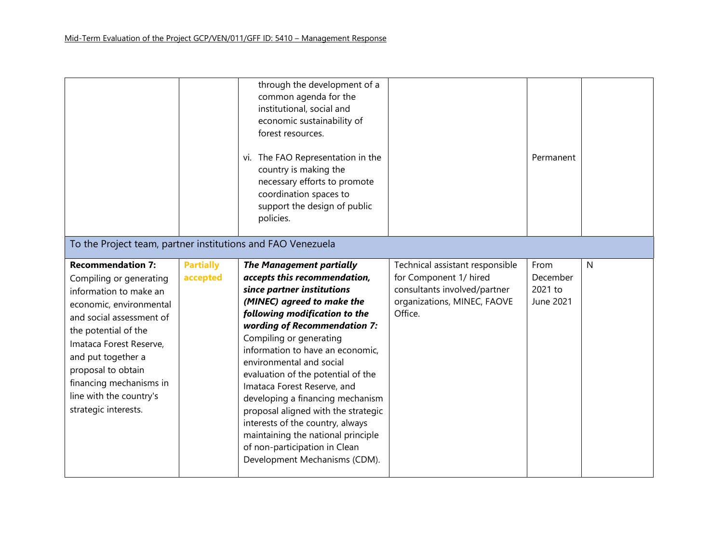|                                                                                                                                                                                                                                                                                                                   |                              | through the development of a<br>common agenda for the<br>institutional, social and<br>economic sustainability of<br>forest resources.<br>vi. The FAO Representation in the<br>country is making the<br>necessary efforts to promote<br>coordination spaces to<br>support the design of public<br>policies.                                                                                                                                                                                                                                                                          |                                                                                                                                     | Permanent                                |              |
|-------------------------------------------------------------------------------------------------------------------------------------------------------------------------------------------------------------------------------------------------------------------------------------------------------------------|------------------------------|-------------------------------------------------------------------------------------------------------------------------------------------------------------------------------------------------------------------------------------------------------------------------------------------------------------------------------------------------------------------------------------------------------------------------------------------------------------------------------------------------------------------------------------------------------------------------------------|-------------------------------------------------------------------------------------------------------------------------------------|------------------------------------------|--------------|
| To the Project team, partner institutions and FAO Venezuela                                                                                                                                                                                                                                                       |                              |                                                                                                                                                                                                                                                                                                                                                                                                                                                                                                                                                                                     |                                                                                                                                     |                                          |              |
| <b>Recommendation 7:</b><br>Compiling or generating<br>information to make an<br>economic, environmental<br>and social assessment of<br>the potential of the<br>Imataca Forest Reserve,<br>and put together a<br>proposal to obtain<br>financing mechanisms in<br>line with the country's<br>strategic interests. | <b>Partially</b><br>accepted | <b>The Management partially</b><br>accepts this recommendation,<br>since partner institutions<br>(MINEC) agreed to make the<br>following modification to the<br>wording of Recommendation 7:<br>Compiling or generating<br>information to have an economic,<br>environmental and social<br>evaluation of the potential of the<br>Imataca Forest Reserve, and<br>developing a financing mechanism<br>proposal aligned with the strategic<br>interests of the country, always<br>maintaining the national principle<br>of non-participation in Clean<br>Development Mechanisms (CDM). | Technical assistant responsible<br>for Component 1/ hired<br>consultants involved/partner<br>organizations, MINEC, FAOVE<br>Office. | From<br>December<br>2021 to<br>June 2021 | $\mathsf{N}$ |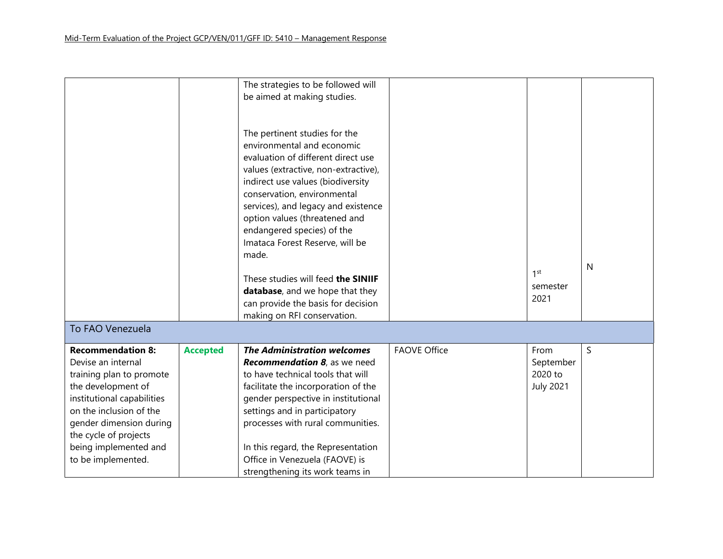|                            |                 | The strategies to be followed will   |                     |                  |   |
|----------------------------|-----------------|--------------------------------------|---------------------|------------------|---|
|                            |                 | be aimed at making studies.          |                     |                  |   |
|                            |                 |                                      |                     |                  |   |
|                            |                 |                                      |                     |                  |   |
|                            |                 | The pertinent studies for the        |                     |                  |   |
|                            |                 | environmental and economic           |                     |                  |   |
|                            |                 | evaluation of different direct use   |                     |                  |   |
|                            |                 | values (extractive, non-extractive), |                     |                  |   |
|                            |                 | indirect use values (biodiversity    |                     |                  |   |
|                            |                 | conservation, environmental          |                     |                  |   |
|                            |                 | services), and legacy and existence  |                     |                  |   |
|                            |                 | option values (threatened and        |                     |                  |   |
|                            |                 | endangered species) of the           |                     |                  |   |
|                            |                 | Imataca Forest Reserve, will be      |                     |                  |   |
|                            |                 | made.                                |                     |                  |   |
|                            |                 |                                      |                     | $1$ st           | N |
|                            |                 | These studies will feed the SINIIF   |                     |                  |   |
|                            |                 | database, and we hope that they      |                     | semester         |   |
|                            |                 | can provide the basis for decision   |                     | 2021             |   |
|                            |                 | making on RFI conservation.          |                     |                  |   |
| To FAO Venezuela           |                 |                                      |                     |                  |   |
|                            |                 |                                      |                     |                  |   |
| <b>Recommendation 8:</b>   | <b>Accepted</b> | <b>The Administration welcomes</b>   | <b>FAOVE Office</b> | From             | S |
| Devise an internal         |                 | <b>Recommendation 8</b> , as we need |                     | September        |   |
| training plan to promote   |                 | to have technical tools that will    |                     | 2020 to          |   |
| the development of         |                 | facilitate the incorporation of the  |                     | <b>July 2021</b> |   |
| institutional capabilities |                 | gender perspective in institutional  |                     |                  |   |
| on the inclusion of the    |                 | settings and in participatory        |                     |                  |   |
| gender dimension during    |                 | processes with rural communities.    |                     |                  |   |
| the cycle of projects      |                 |                                      |                     |                  |   |
| being implemented and      |                 | In this regard, the Representation   |                     |                  |   |
| to be implemented.         |                 | Office in Venezuela (FAOVE) is       |                     |                  |   |
|                            |                 | strengthening its work teams in      |                     |                  |   |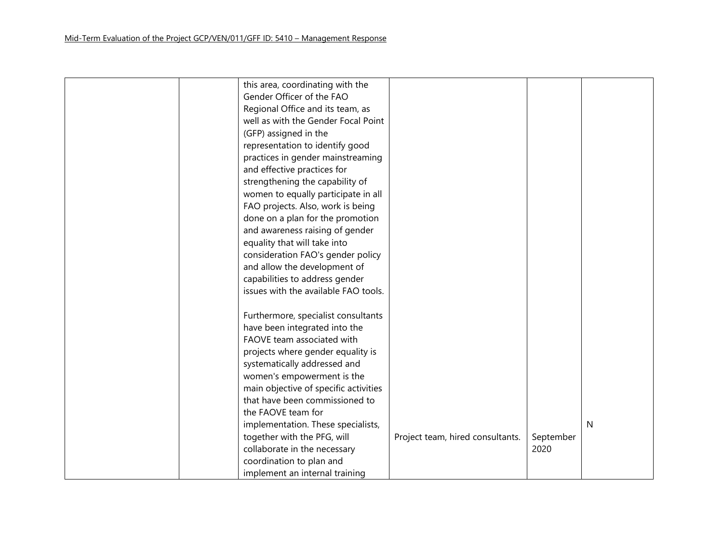| this area, coordinating with the      |                                  |           |   |
|---------------------------------------|----------------------------------|-----------|---|
| Gender Officer of the FAO             |                                  |           |   |
| Regional Office and its team, as      |                                  |           |   |
| well as with the Gender Focal Point   |                                  |           |   |
| (GFP) assigned in the                 |                                  |           |   |
| representation to identify good       |                                  |           |   |
| practices in gender mainstreaming     |                                  |           |   |
| and effective practices for           |                                  |           |   |
| strengthening the capability of       |                                  |           |   |
| women to equally participate in all   |                                  |           |   |
| FAO projects. Also, work is being     |                                  |           |   |
| done on a plan for the promotion      |                                  |           |   |
| and awareness raising of gender       |                                  |           |   |
| equality that will take into          |                                  |           |   |
| consideration FAO's gender policy     |                                  |           |   |
| and allow the development of          |                                  |           |   |
| capabilities to address gender        |                                  |           |   |
| issues with the available FAO tools.  |                                  |           |   |
|                                       |                                  |           |   |
| Furthermore, specialist consultants   |                                  |           |   |
| have been integrated into the         |                                  |           |   |
| FAOVE team associated with            |                                  |           |   |
| projects where gender equality is     |                                  |           |   |
| systematically addressed and          |                                  |           |   |
| women's empowerment is the            |                                  |           |   |
| main objective of specific activities |                                  |           |   |
| that have been commissioned to        |                                  |           |   |
| the FAOVE team for                    |                                  |           |   |
| implementation. These specialists,    |                                  |           | N |
| together with the PFG, will           | Project team, hired consultants. | September |   |
| collaborate in the necessary          |                                  | 2020      |   |
| coordination to plan and              |                                  |           |   |
| implement an internal training        |                                  |           |   |